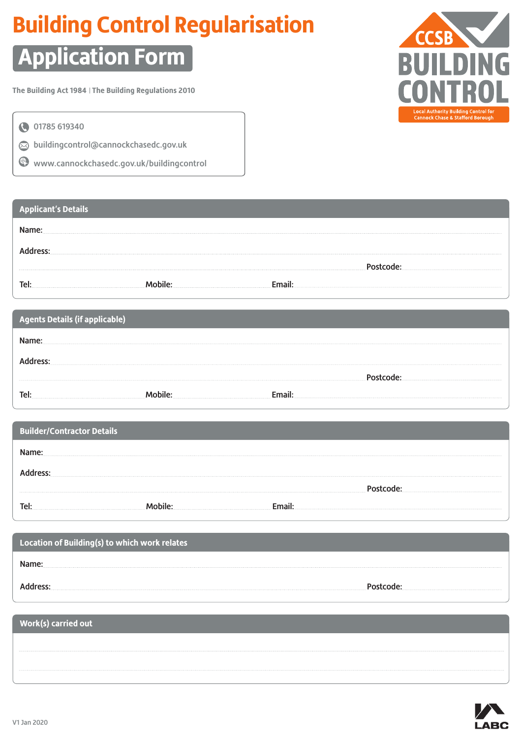# **Building Control Regularisation**

# **Application Form**

**The Building Act 1984 The Building Regulations 2010**



01785 619340

 $\odot$  buildingcontrol@cannockchasedc.gov.uk

www.cannockchasedc.gov.uk/buildingcontrol

### **Applicant's Details**

| Tel. |  |  |
|------|--|--|

| Agents Details (if applicable) |  |
|--------------------------------|--|
|                                |  |
|                                |  |
|                                |  |
|                                |  |

| <b>Builder/Contractor Details</b> |  |  |
|-----------------------------------|--|--|
|                                   |  |  |
|                                   |  |  |
|                                   |  |  |
|                                   |  |  |

| Location of Building(s) to which work relates |  |
|-----------------------------------------------|--|
|                                               |  |
|                                               |  |

### **Work(s) carried out**